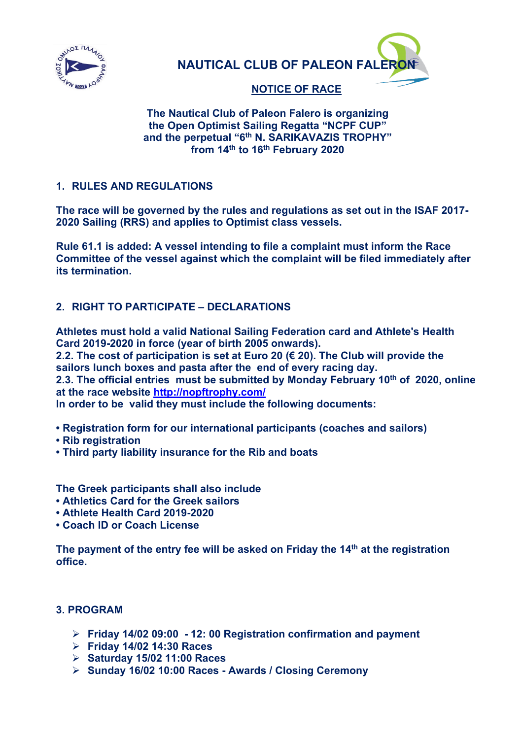

**NAUTICAL CLUB OF PALEON FALE** 

# **NOTICE OF RACE**

## **The Nautical Club of Paleon Falero is organizing the Open Optimist Sailing Regatta "NCPF CUP" and the perpetual "6th Ν. SARIKAVAZIS TROPHY" from 14th to 16th February 2020**

# **1. RULES AND REGULATIONS**

**The race will be governed by the rules and regulations as set out in the ISAF 2017- 2020 Sailing (RRS) and applies to Optimist class vessels.**

**Rule 61.1 is added: A vessel intending to file a complaint must inform the Race Committee of the vessel against which the complaint will be filed immediately after its termination.**

# **2. RIGHT TO PARTICIPATE – DECLARATIONS**

**Athletes must hold a valid National Sailing Federation card and Athlete's Health Card 2019-2020 in force (year of birth 2005 onwards).**

**2.2. The cost of participation is set at Euro 20 (€ 20). The Club will provide the sailors lunch boxes and pasta after the end of every racing day.**

**2.3. The official entries must be submitted by Monday February 10th of 2020, online at the race website<http://nopftrophy.com/>**

**In order to be valid they must include the following documents:**

- **Registration form for our international participants (coaches and sailors)**
- **Rib registration**
- **Third party liability insurance for the Rib and boats**

**The Greek participants shall also include** 

- **Athletics Card for the Greek sailors**
- **Athlete Health Card 2019-2020**
- **Coach ID or Coach License**

**The payment of the entry fee will be asked on Friday the 14th at the registration office.**

# **3. PROGRAM**

- **Friday 14/02 09:00 - 12: 00 Registration confirmation and payment**
- **Friday 14/02 14:30 Races**
- **Saturday 15/02 11:00 Races**
- **Sunday 16/02 10:00 Races - Awards / Closing Ceremony**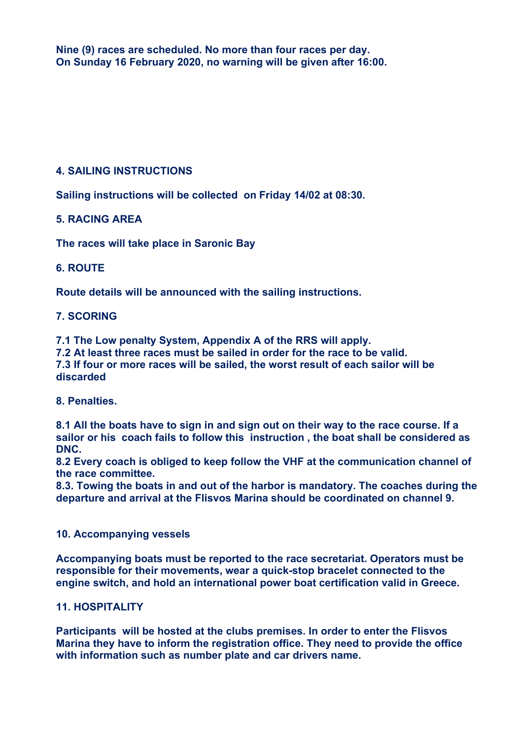**Nine (9) races are scheduled. No more than four races per day. On Sunday 16 February 2020, no warning will be given after 16:00.**

# **4. SAILING INSTRUCTIONS**

**Sailing instructions will be collected on Friday 14/02 at 08:30.**

## **5. RACING AREA**

**The races will take place in Saronic Bay**

# **6. ROUTE**

**Route details will be announced with the sailing instructions.**

# **7. SCORING**

**7.1 The Low penalty System, Appendix A of the RRS will apply.**

**7.2 At least three races must be sailed in order for the race to be valid. 7.3 If four or more races will be sailed, the worst result of each sailor will be discarded** 

## **8. Penalties.**

**8.1 All the boats have to sign in and sign out on their way to the race course. If a sailor or his coach fails to follow this instruction , the boat shall be considered as DNC.**

**8.2 Every coach is obliged to keep follow the VHF at the communication channel of the race committee.** 

**8.3. Towing the boats in and out of the harbor is mandatory. The coaches during the departure and arrival at the Flisvos Marina should be coordinated on channel 9.**

## **10. Accompanying vessels**

**Accompanying boats must be reported to the race secretariat. Operators must be responsible for their movements, wear a quick-stop bracelet connected to the engine switch, and hold an international power boat certification valid in Greece.**

## **11. HOSPITALITY**

**Participants will be hosted at the clubs premises. In order to enter the Flisvos Marina they have to inform the registration office. They need to provide the office with information such as number plate and car drivers name.**